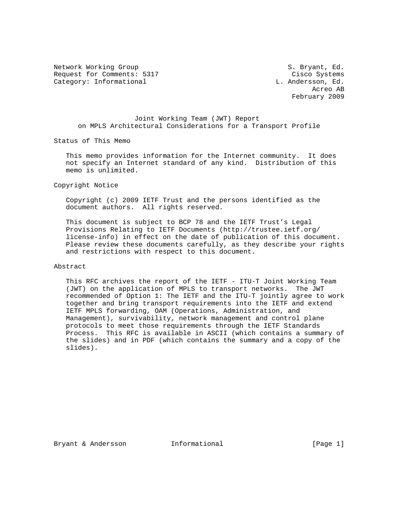Network Working Group S. Bryant, Ed. Request for Comments: 5317 Cisco Systems Category: Informational Category: Ed. and L. Andersson, Ed.

 Acreo AB February 2009

## Joint Working Team (JWT) Report on MPLS Architectural Considerations for a Transport Profile

Status of This Memo

 This memo provides information for the Internet community. It does not specify an Internet standard of any kind. Distribution of this memo is unlimited.

Copyright Notice

 Copyright (c) 2009 IETF Trust and the persons identified as the document authors. All rights reserved.

 This document is subject to BCP 78 and the IETF Trust's Legal Provisions Relating to IETF Documents (http://trustee.ietf.org/ license-info) in effect on the date of publication of this document. Please review these documents carefully, as they describe your rights and restrictions with respect to this document.

Abstract

 This RFC archives the report of the IETF - ITU-T Joint Working Team (JWT) on the application of MPLS to transport networks. The JWT recommended of Option 1: The IETF and the ITU-T jointly agree to work together and bring transport requirements into the IETF and extend IETF MPLS forwarding, OAM (Operations, Administration, and Management), survivability, network management and control plane protocols to meet those requirements through the IETF Standards Process. This RFC is available in ASCII (which contains a summary of the slides) and in PDF (which contains the summary and a copy of the slides).

Bryant & Andersson **Informational** [Page 1]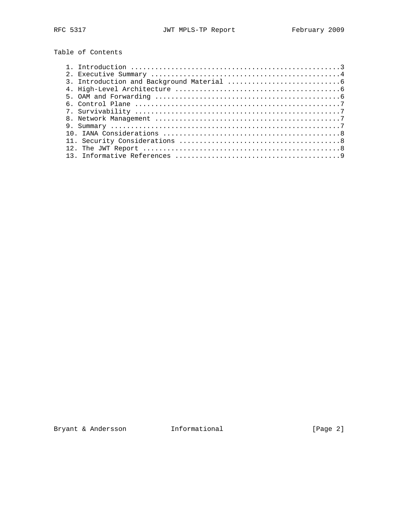Table of Contents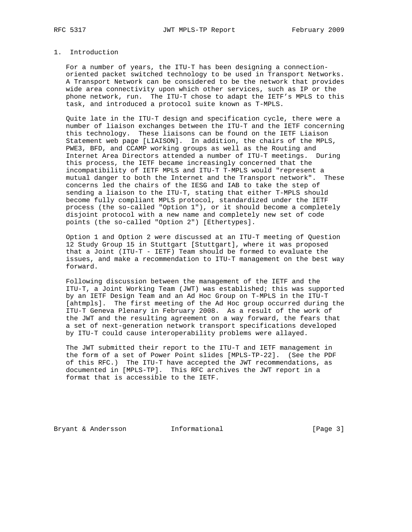## 1. Introduction

 For a number of years, the ITU-T has been designing a connection oriented packet switched technology to be used in Transport Networks. A Transport Network can be considered to be the network that provides wide area connectivity upon which other services, such as IP or the phone network, run. The ITU-T chose to adapt the IETF's MPLS to this task, and introduced a protocol suite known as T-MPLS.

 Quite late in the ITU-T design and specification cycle, there were a number of liaison exchanges between the ITU-T and the IETF concerning this technology. These liaisons can be found on the IETF Liaison Statement web page [LIAISON]. In addition, the chairs of the MPLS, PWE3, BFD, and CCAMP working groups as well as the Routing and Internet Area Directors attended a number of ITU-T meetings. During this process, the IETF became increasingly concerned that the incompatibility of IETF MPLS and ITU-T T-MPLS would "represent a mutual danger to both the Internet and the Transport network". These concerns led the chairs of the IESG and IAB to take the step of sending a liaison to the ITU-T, stating that either T-MPLS should become fully compliant MPLS protocol, standardized under the IETF process (the so-called "Option 1"), or it should become a completely disjoint protocol with a new name and completely new set of code points (the so-called "Option 2") [Ethertypes].

 Option 1 and Option 2 were discussed at an ITU-T meeting of Question 12 Study Group 15 in Stuttgart [Stuttgart], where it was proposed that a Joint (ITU-T - IETF) Team should be formed to evaluate the issues, and make a recommendation to ITU-T management on the best way forward.

 Following discussion between the management of the IETF and the ITU-T, a Joint Working Team (JWT) was established; this was supported by an IETF Design Team and an Ad Hoc Group on T-MPLS in the ITU-T [ahtmpls]. The first meeting of the Ad Hoc group occurred during the ITU-T Geneva Plenary in February 2008. As a result of the work of the JWT and the resulting agreement on a way forward, the fears that a set of next-generation network transport specifications developed by ITU-T could cause interoperability problems were allayed.

 The JWT submitted their report to the ITU-T and IETF management in the form of a set of Power Point slides [MPLS-TP-22]. (See the PDF of this RFC.) The ITU-T have accepted the JWT recommendations, as documented in [MPLS-TP]. This RFC archives the JWT report in a format that is accessible to the IETF.

Bryant & Andersson **Informational** [Page 3]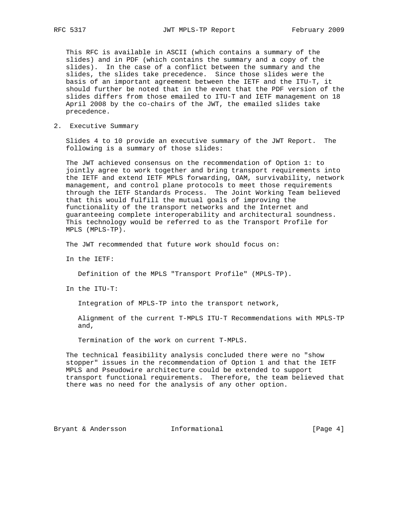This RFC is available in ASCII (which contains a summary of the slides) and in PDF (which contains the summary and a copy of the slides). In the case of a conflict between the summary and the slides, the slides take precedence. Since those slides were the basis of an important agreement between the IETF and the ITU-T, it should further be noted that in the event that the PDF version of the slides differs from those emailed to ITU-T and IETF management on 18 April 2008 by the co-chairs of the JWT, the emailed slides take precedence.

2. Executive Summary

 Slides 4 to 10 provide an executive summary of the JWT Report. The following is a summary of those slides:

 The JWT achieved consensus on the recommendation of Option 1: to jointly agree to work together and bring transport requirements into the IETF and extend IETF MPLS forwarding, OAM, survivability, network management, and control plane protocols to meet those requirements through the IETF Standards Process. The Joint Working Team believed that this would fulfill the mutual goals of improving the functionality of the transport networks and the Internet and guaranteeing complete interoperability and architectural soundness. This technology would be referred to as the Transport Profile for MPLS (MPLS-TP).

The JWT recommended that future work should focus on:

In the IETF:

Definition of the MPLS "Transport Profile" (MPLS-TP).

In the ITU-T:

Integration of MPLS-TP into the transport network,

 Alignment of the current T-MPLS ITU-T Recommendations with MPLS-TP and,

Termination of the work on current T-MPLS.

 The technical feasibility analysis concluded there were no "show stopper" issues in the recommendation of Option 1 and that the IETF MPLS and Pseudowire architecture could be extended to support transport functional requirements. Therefore, the team believed that there was no need for the analysis of any other option.

Bryant & Andersson **Informational Informational** [Page 4]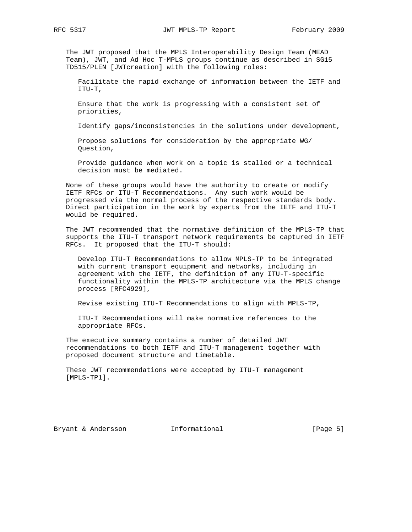The JWT proposed that the MPLS Interoperability Design Team (MEAD Team), JWT, and Ad Hoc T-MPLS groups continue as described in SG15 TD515/PLEN [JWTcreation] with the following roles:

 Facilitate the rapid exchange of information between the IETF and ITU-T,

 Ensure that the work is progressing with a consistent set of priorities,

Identify gaps/inconsistencies in the solutions under development,

 Propose solutions for consideration by the appropriate WG/ Question,

 Provide guidance when work on a topic is stalled or a technical decision must be mediated.

 None of these groups would have the authority to create or modify IETF RFCs or ITU-T Recommendations. Any such work would be progressed via the normal process of the respective standards body. Direct participation in the work by experts from the IETF and ITU-T would be required.

 The JWT recommended that the normative definition of the MPLS-TP that supports the ITU-T transport network requirements be captured in IETF RFCs. It proposed that the ITU-T should:

 Develop ITU-T Recommendations to allow MPLS-TP to be integrated with current transport equipment and networks, including in agreement with the IETF, the definition of any ITU-T-specific functionality within the MPLS-TP architecture via the MPLS change process [RFC4929],

Revise existing ITU-T Recommendations to align with MPLS-TP,

 ITU-T Recommendations will make normative references to the appropriate RFCs.

 The executive summary contains a number of detailed JWT recommendations to both IETF and ITU-T management together with proposed document structure and timetable.

 These JWT recommendations were accepted by ITU-T management [MPLS-TP1].

Bryant & Andersson **Informational Informational** [Page 5]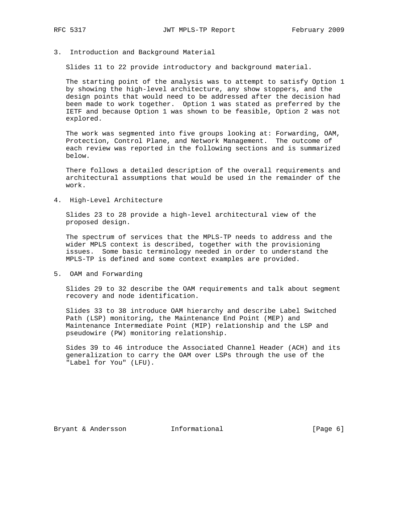3. Introduction and Background Material

Slides 11 to 22 provide introductory and background material.

 The starting point of the analysis was to attempt to satisfy Option 1 by showing the high-level architecture, any show stoppers, and the design points that would need to be addressed after the decision had been made to work together. Option 1 was stated as preferred by the IETF and because Option 1 was shown to be feasible, Option 2 was not explored.

 The work was segmented into five groups looking at: Forwarding, OAM, Protection, Control Plane, and Network Management. The outcome of each review was reported in the following sections and is summarized below.

 There follows a detailed description of the overall requirements and architectural assumptions that would be used in the remainder of the work.

4. High-Level Architecture

 Slides 23 to 28 provide a high-level architectural view of the proposed design.

 The spectrum of services that the MPLS-TP needs to address and the wider MPLS context is described, together with the provisioning issues. Some basic terminology needed in order to understand the MPLS-TP is defined and some context examples are provided.

5. OAM and Forwarding

 Slides 29 to 32 describe the OAM requirements and talk about segment recovery and node identification.

 Slides 33 to 38 introduce OAM hierarchy and describe Label Switched Path (LSP) monitoring, the Maintenance End Point (MEP) and Maintenance Intermediate Point (MIP) relationship and the LSP and pseudowire (PW) monitoring relationship.

 Sides 39 to 46 introduce the Associated Channel Header (ACH) and its generalization to carry the OAM over LSPs through the use of the "Label for You" (LFU).

Bryant & Andersson **Informational Informational** [Page 6]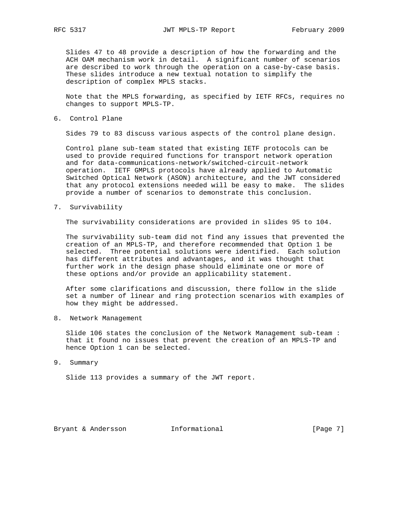Slides 47 to 48 provide a description of how the forwarding and the ACH OAM mechanism work in detail. A significant number of scenarios are described to work through the operation on a case-by-case basis. These slides introduce a new textual notation to simplify the description of complex MPLS stacks.

 Note that the MPLS forwarding, as specified by IETF RFCs, requires no changes to support MPLS-TP.

6. Control Plane

Sides 79 to 83 discuss various aspects of the control plane design.

 Control plane sub-team stated that existing IETF protocols can be used to provide required functions for transport network operation and for data-communications-network/switched-circuit-network operation. IETF GMPLS protocols have already applied to Automatic Switched Optical Network (ASON) architecture, and the JWT considered that any protocol extensions needed will be easy to make. The slides provide a number of scenarios to demonstrate this conclusion.

7. Survivability

The survivability considerations are provided in slides 95 to 104.

 The survivability sub-team did not find any issues that prevented the creation of an MPLS-TP, and therefore recommended that Option 1 be selected. Three potential solutions were identified. Each solution has different attributes and advantages, and it was thought that further work in the design phase should eliminate one or more of these options and/or provide an applicability statement.

 After some clarifications and discussion, there follow in the slide set a number of linear and ring protection scenarios with examples of how they might be addressed.

8. Network Management

 Slide 106 states the conclusion of the Network Management sub-team : that it found no issues that prevent the creation of an MPLS-TP and hence Option 1 can be selected.

9. Summary

Slide 113 provides a summary of the JWT report.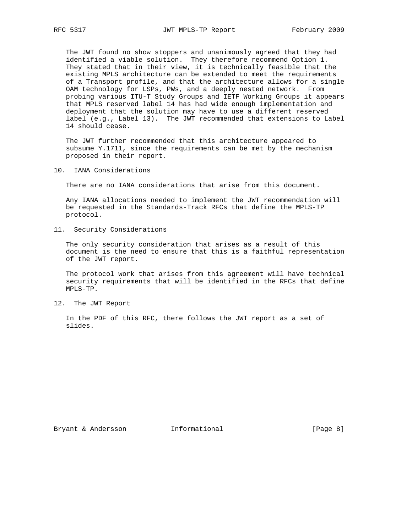The JWT found no show stoppers and unanimously agreed that they had identified a viable solution. They therefore recommend Option 1. They stated that in their view, it is technically feasible that the existing MPLS architecture can be extended to meet the requirements of a Transport profile, and that the architecture allows for a single OAM technology for LSPs, PWs, and a deeply nested network. From probing various ITU-T Study Groups and IETF Working Groups it appears that MPLS reserved label 14 has had wide enough implementation and deployment that the solution may have to use a different reserved label (e.g., Label 13). The JWT recommended that extensions to Label 14 should cease.

 The JWT further recommended that this architecture appeared to subsume Y.1711, since the requirements can be met by the mechanism proposed in their report.

10. IANA Considerations

There are no IANA considerations that arise from this document.

 Any IANA allocations needed to implement the JWT recommendation will be requested in the Standards-Track RFCs that define the MPLS-TP protocol.

11. Security Considerations

 The only security consideration that arises as a result of this document is the need to ensure that this is a faithful representation of the JWT report.

 The protocol work that arises from this agreement will have technical security requirements that will be identified in the RFCs that define MPLS-TP.

12. The JWT Report

 In the PDF of this RFC, there follows the JWT report as a set of slides.

Bryant & Andersson **Informational Informational** [Page 8]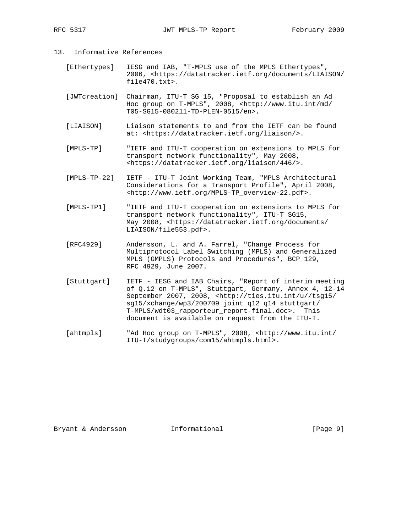- 13. Informative References
	- [Ethertypes] IESG and IAB, "T-MPLS use of the MPLS Ethertypes", 2006, <https://datatracker.ietf.org/documents/LIAISON/ file470.txt>.
	- [JWTcreation] Chairman, ITU-T SG 15, "Proposal to establish an Ad Hoc group on T-MPLS", 2008, <http://www.itu.int/md/ T05-SG15-080211-TD-PLEN-0515/en>.
	- [LIAISON] Liaison statements to and from the IETF can be found at: <https://datatracker.ietf.org/liaison/>.
	- [MPLS-TP] "IETF and ITU-T cooperation on extensions to MPLS for transport network functionality", May 2008, <https://datatracker.ietf.org/liaison/446/>.
	- [MPLS-TP-22] IETF ITU-T Joint Working Team, "MPLS Architectural Considerations for a Transport Profile", April 2008, <http://www.ietf.org/MPLS-TP\_overview-22.pdf>.
	- [MPLS-TP1] "IETF and ITU-T cooperation on extensions to MPLS for transport network functionality", ITU-T SG15, May 2008, <https://datatracker.ietf.org/documents/ LIAISON/file553.pdf>.
	- [RFC4929] Andersson, L. and A. Farrel, "Change Process for Multiprotocol Label Switching (MPLS) and Generalized MPLS (GMPLS) Protocols and Procedures", BCP 129, RFC 4929, June 2007.
	- [Stuttgart] IETF IESG and IAB Chairs, "Report of interim meeting of Q.12 on T-MPLS", Stuttgart, Germany, Annex 4, 12-14 September 2007, 2008, <http://ties.itu.int/u//tsg15/ sg15/xchange/wp3/200709\_joint\_q12\_q14\_stuttgart/ T-MPLS/wdt03\_rapporteur\_report-final.doc>. This document is available on request from the ITU-T.
	- [ahtmpls] "Ad Hoc group on T-MPLS", 2008, <http://www.itu.int/ ITU-T/studygroups/com15/ahtmpls.html>.